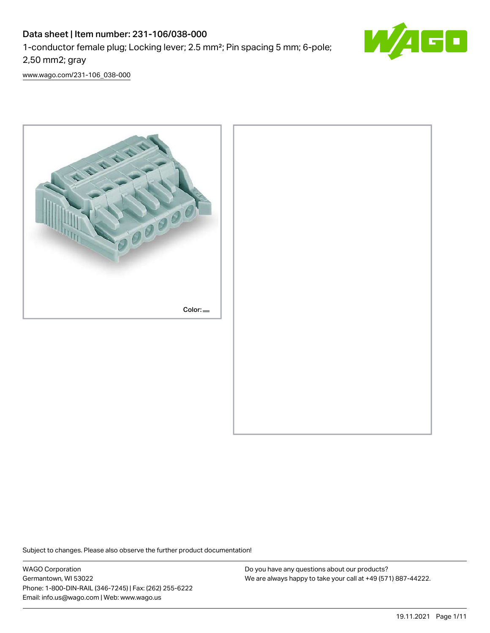# Data sheet | Item number: 231-106/038-000

1-conductor female plug; Locking lever; 2.5 mm²; Pin spacing 5 mm; 6-pole;

2,50 mm2; gray

[www.wago.com/231-106\\_038-000](http://www.wago.com/231-106_038-000)



Subject to changes. Please also observe the further product documentation!

WAGO Corporation Germantown, WI 53022 Phone: 1-800-DIN-RAIL (346-7245) | Fax: (262) 255-6222 Email: info.us@wago.com | Web: www.wago.us

![](_page_0_Picture_9.jpeg)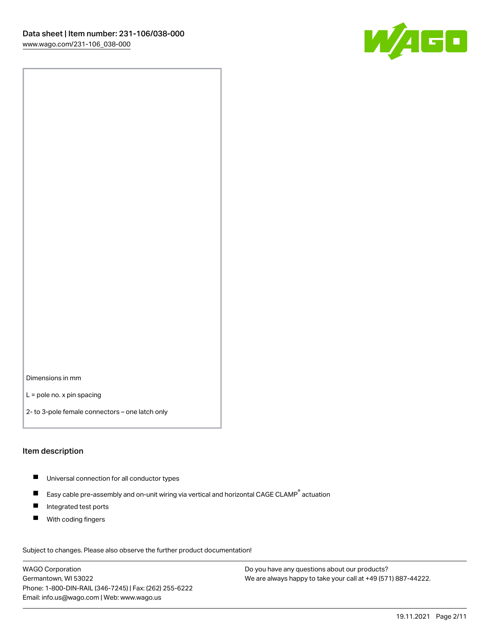![](_page_1_Picture_1.jpeg)

Dimensions in mm

L = pole no. x pin spacing

2- to 3-pole female connectors – one latch only

#### Item description

- $\blacksquare$ Universal connection for all conductor types
- П Easy cable pre-assembly and on-unit wiring via vertical and horizontal CAGE CLAMP<sup>®</sup> actuation
- $\blacksquare$ Integrated test ports
- $\blacksquare$ With coding fingers

Subject to changes. Please also observe the further product documentation!

WAGO Corporation Germantown, WI 53022 Phone: 1-800-DIN-RAIL (346-7245) | Fax: (262) 255-6222 Email: info.us@wago.com | Web: www.wago.us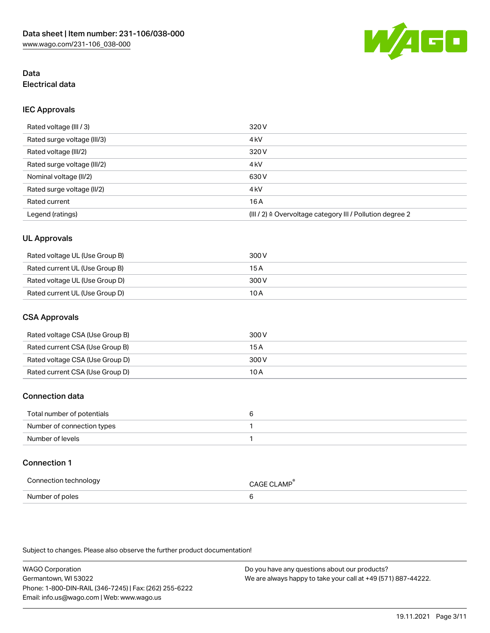![](_page_2_Picture_1.jpeg)

# Data Electrical data

# IEC Approvals

| Rated voltage (III / 3)     | 320 V                                                                 |
|-----------------------------|-----------------------------------------------------------------------|
| Rated surge voltage (III/3) | 4 <sub>k</sub> V                                                      |
| Rated voltage (III/2)       | 320 V                                                                 |
| Rated surge voltage (III/2) | 4 <sub>k</sub> V                                                      |
| Nominal voltage (II/2)      | 630 V                                                                 |
| Rated surge voltage (II/2)  | 4 <sub>k</sub> V                                                      |
| Rated current               | 16A                                                                   |
| Legend (ratings)            | $(III / 2)$ $\triangle$ Overvoltage category III / Pollution degree 2 |

# UL Approvals

| Rated voltage UL (Use Group B) | 300 V |
|--------------------------------|-------|
| Rated current UL (Use Group B) | 15 A  |
| Rated voltage UL (Use Group D) | 300 V |
| Rated current UL (Use Group D) | 10 A  |

# CSA Approvals

| Rated voltage CSA (Use Group B) | 300 V |
|---------------------------------|-------|
| Rated current CSA (Use Group B) | 15 A  |
| Rated voltage CSA (Use Group D) | 300 V |
| Rated current CSA (Use Group D) | 10 A  |

# Connection data

| Total number of potentials |  |
|----------------------------|--|
| Number of connection types |  |
| Number of levels           |  |

# Connection 1

| Connection technology | <b>CAGE CLAMP</b> |
|-----------------------|-------------------|
| Number of poles       |                   |

Subject to changes. Please also observe the further product documentation!

WAGO Corporation Germantown, WI 53022 Phone: 1-800-DIN-RAIL (346-7245) | Fax: (262) 255-6222 Email: info.us@wago.com | Web: www.wago.us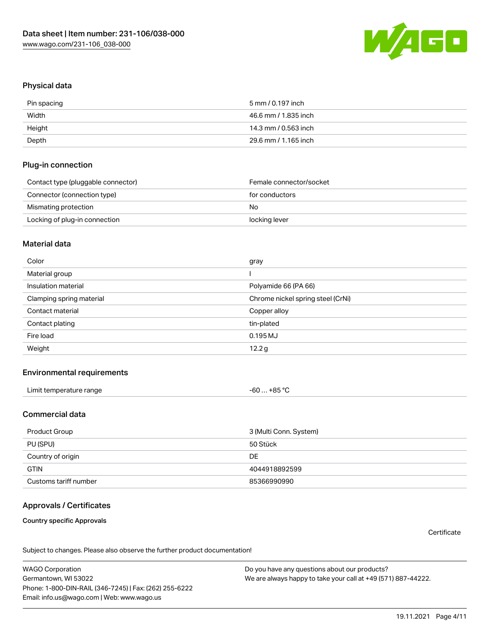![](_page_3_Picture_1.jpeg)

### Physical data

| Pin spacing | 5 mm / 0.197 inch    |
|-------------|----------------------|
| Width       | 46.6 mm / 1.835 inch |
| Height      | 14.3 mm / 0.563 inch |
| Depth       | 29.6 mm / 1.165 inch |

### Plug-in connection

| Contact type (pluggable connector) | Female connector/socket |
|------------------------------------|-------------------------|
| Connector (connection type)        | for conductors          |
| Mismating protection               | No                      |
| Locking of plug-in connection      | locking lever           |

### Material data

| Color                    | gray                              |
|--------------------------|-----------------------------------|
| Material group           |                                   |
| Insulation material      | Polyamide 66 (PA 66)              |
| Clamping spring material | Chrome nickel spring steel (CrNi) |
|                          |                                   |
| Contact material         | Copper alloy                      |
| Contact plating          | tin-plated                        |
| Fire load                | $0.195$ MJ                        |
| Weight                   | 12.2 <sub>g</sub>                 |

### Environmental requirements

| Limit temperature range<br>−60 … +85 °Ր |  |
|-----------------------------------------|--|
|-----------------------------------------|--|

## Commercial data

| Product Group         | 3 (Multi Conn. System) |
|-----------------------|------------------------|
| PU (SPU)              | 50 Stück               |
| Country of origin     | DE                     |
| <b>GTIN</b>           | 4044918892599          |
| Customs tariff number | 85366990990            |

# Approvals / Certificates

#### Country specific Approvals

**Certificate** 

Subject to changes. Please also observe the further product documentation!

WAGO Corporation Germantown, WI 53022 Phone: 1-800-DIN-RAIL (346-7245) | Fax: (262) 255-6222 Email: info.us@wago.com | Web: www.wago.us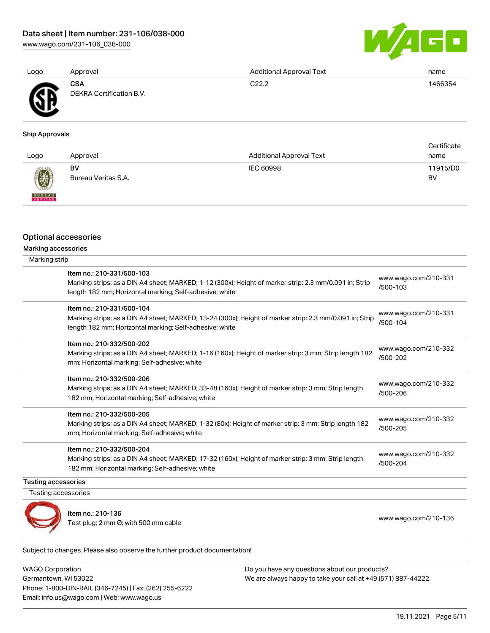[www.wago.com/231-106\\_038-000](http://www.wago.com/231-106_038-000)

![](_page_4_Picture_2.jpeg)

[www.wago.com/210-331](http://www.wago.com/210-331/500-103)

[/500-103](http://www.wago.com/210-331/500-103)

| Logo           | Approval                        | <b>Additional Approval Text</b> | name    |
|----------------|---------------------------------|---------------------------------|---------|
| <b>AN</b><br>. | CSA<br>DEKRA Certification B.V. | C22.2                           | 1466354 |

#### Ship Approvals

| Logo                                                                                                                                                                                                                                                                                                                                                                                                                                                                                | Approval                  | <b>Additional Approval Text</b> | Certificate<br>name |
|-------------------------------------------------------------------------------------------------------------------------------------------------------------------------------------------------------------------------------------------------------------------------------------------------------------------------------------------------------------------------------------------------------------------------------------------------------------------------------------|---------------------------|---------------------------------|---------------------|
| $\bigcirc\!\!\!\!\! \bigcirc\!\!\!\!\! \bigcirc\!\!\!\!\! \bigcirc\!\!\!\!\! \bigcirc\!\!\!\!\! \bigcirc\!\!\!\!\! \bigcirc\!\!\!\!\! \bigcirc\!\!\!\!\! \bigcirc\!\!\!\!\! \bigcirc\!\!\!\!\! \bigcirc\!\!\!\!\! \bigcirc\!\!\!\!\! \bigcirc\!\!\!\!\! \bigcirc\!\!\!\!\! \bigcirc\!\!\!\!\! \bigcirc\!\!\!\!\! \bigcirc\!\!\!\!\! \bigcirc\!\!\!\!\! \bigcirc\!\!\!\!\! \bigcirc\!\!\!\!\! \bigcirc\!\!\!\!\! \bigcirc\!\!\!\!\! \bigcirc\!\!\!\!\! \bigcirc\!\!\!\!\! \bigcirc\$ | BV<br>Bureau Veritas S.A. | IEC 60998                       | 11915/D0<br>BV      |
| <b>BUREAU</b>                                                                                                                                                                                                                                                                                                                                                                                                                                                                       |                           |                                 |                     |

### Optional accessories

| Marking accessories<br>Marking strip                                                                    |
|---------------------------------------------------------------------------------------------------------|
| Item no.: 210-331/500-103                                                                               |
| Marking strips; as a DIN A4 sheet; MARKED; 1-12 (300x); Height of marker strip: 2.3 mm/0.091 in; Strip  |
| length 182 mm; Horizontal marking; Self-adhesive; white                                                 |
| Item no.: 210-331/500-104                                                                               |
| Marking strips; as a DIN A4 sheet; MARKED; 13-24 (300x); Height of marker strip: 2.3 mm/0.091 in; Strij |

| <u> ILEIII IIO.: 2 IU-33 IZƏUU-TU4</u><br>Marking strips; as a DIN A4 sheet; MARKED; 13-24 (300x); Height of marker strip: 2.3 mm/0.091 in; Strip<br>length 182 mm; Horizontal marking; Self-adhesive; white | www.wago.com/210-331<br>/500-104 |
|--------------------------------------------------------------------------------------------------------------------------------------------------------------------------------------------------------------|----------------------------------|
| Item no.: 210-332/500-202<br>Marking strips; as a DIN A4 sheet; MARKED; 1-16 (160x); Height of marker strip: 3 mm; Strip length 182<br>mm; Horizontal marking; Self-adhesive; white                          | www.wago.com/210-332<br>/500-202 |
| Item no.: 210-332/500-206<br>Marking strips; as a DIN A4 sheet; MARKED; 33-48 (160x); Height of marker strip: 3 mm; Strip length<br>182 mm; Horizontal marking; Self-adhesive; white                         | www.wago.com/210-332<br>/500-206 |

#### Item no.: 210-332/500-205

Marking strips; as a DIN A4 sheet; MARKED; 1-32 (80x); Height of marker strip: 3 mm; Strip length 182 mm; Horizontal marking; Self-adhesive; white [www.wago.com/210-332](http://www.wago.com/210-332/500-205) [/500-205](http://www.wago.com/210-332/500-205)

#### Item no.: 210-332/500-204

Marking strips; as a DIN A4 sheet; MARKED; 17-32 (160x); Height of marker strip: 3 mm; Strip length 182 mm; Horizontal marking; Self-adhesive; white [www.wago.com/210-332](http://www.wago.com/210-332/500-204) [/500-204](http://www.wago.com/210-332/500-204)

#### Testing accessories

Testing accessories

![](_page_4_Picture_15.jpeg)

Item no.: 210-136 ntem no... 210–150<br>Test plug; 2 mm Ø; with 500 mm cable [www.wago.com/210-136](http://www.wago.com/210-136)

Subject to changes. Please also observe the further product documentation!

WAGO Corporation Germantown, WI 53022 Phone: 1-800-DIN-RAIL (346-7245) | Fax: (262) 255-6222 Email: info.us@wago.com | Web: www.wago.us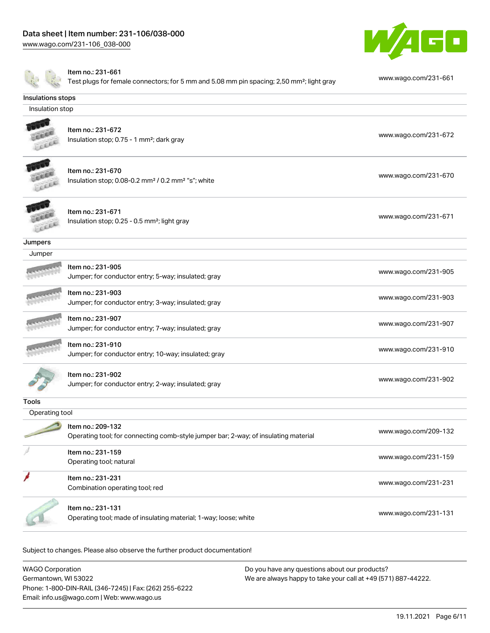[www.wago.com/231-106\\_038-000](http://www.wago.com/231-106_038-000)

![](_page_5_Picture_2.jpeg)

| Insulations stops<br>Insulation stop<br>Item no.: 231-672<br>www.wago.com/231-672<br>Insulation stop; 0.75 - 1 mm <sup>2</sup> ; dark gray<br>Item no.: 231-670<br>www.wago.com/231-670<br>Insulation stop; 0.08-0.2 mm <sup>2</sup> / 0.2 mm <sup>2</sup> "s"; white<br>Item no.: 231-671<br>www.wago.com/231-671<br>Insulation stop; 0.25 - 0.5 mm <sup>2</sup> ; light gray<br>Jumpers<br>Jumper<br>Item no.: 231-905<br>www.wago.com/231-905<br>Jumper; for conductor entry; 5-way; insulated; gray<br>Item no.: 231-903<br>www.wago.com/231-903<br>Jumper; for conductor entry; 3-way; insulated; gray<br>Item no.: 231-907<br>www.wago.com/231-907<br>Jumper; for conductor entry; 7-way; insulated; gray<br>Item no.: 231-910<br>www.wago.com/231-910<br>Jumper; for conductor entry; 10-way; insulated; gray<br>Item no.: 231-902<br>www.wago.com/231-902<br>Jumper; for conductor entry; 2-way; insulated; gray<br><b>Tools</b><br>Operating tool | www.wago.com/231-661 |
|------------------------------------------------------------------------------------------------------------------------------------------------------------------------------------------------------------------------------------------------------------------------------------------------------------------------------------------------------------------------------------------------------------------------------------------------------------------------------------------------------------------------------------------------------------------------------------------------------------------------------------------------------------------------------------------------------------------------------------------------------------------------------------------------------------------------------------------------------------------------------------------------------------------------------------------------------------|----------------------|
|                                                                                                                                                                                                                                                                                                                                                                                                                                                                                                                                                                                                                                                                                                                                                                                                                                                                                                                                                            |                      |
|                                                                                                                                                                                                                                                                                                                                                                                                                                                                                                                                                                                                                                                                                                                                                                                                                                                                                                                                                            |                      |
|                                                                                                                                                                                                                                                                                                                                                                                                                                                                                                                                                                                                                                                                                                                                                                                                                                                                                                                                                            |                      |
|                                                                                                                                                                                                                                                                                                                                                                                                                                                                                                                                                                                                                                                                                                                                                                                                                                                                                                                                                            |                      |
|                                                                                                                                                                                                                                                                                                                                                                                                                                                                                                                                                                                                                                                                                                                                                                                                                                                                                                                                                            |                      |
|                                                                                                                                                                                                                                                                                                                                                                                                                                                                                                                                                                                                                                                                                                                                                                                                                                                                                                                                                            |                      |
|                                                                                                                                                                                                                                                                                                                                                                                                                                                                                                                                                                                                                                                                                                                                                                                                                                                                                                                                                            |                      |
|                                                                                                                                                                                                                                                                                                                                                                                                                                                                                                                                                                                                                                                                                                                                                                                                                                                                                                                                                            |                      |
|                                                                                                                                                                                                                                                                                                                                                                                                                                                                                                                                                                                                                                                                                                                                                                                                                                                                                                                                                            |                      |
|                                                                                                                                                                                                                                                                                                                                                                                                                                                                                                                                                                                                                                                                                                                                                                                                                                                                                                                                                            |                      |
|                                                                                                                                                                                                                                                                                                                                                                                                                                                                                                                                                                                                                                                                                                                                                                                                                                                                                                                                                            |                      |
|                                                                                                                                                                                                                                                                                                                                                                                                                                                                                                                                                                                                                                                                                                                                                                                                                                                                                                                                                            |                      |
|                                                                                                                                                                                                                                                                                                                                                                                                                                                                                                                                                                                                                                                                                                                                                                                                                                                                                                                                                            |                      |
|                                                                                                                                                                                                                                                                                                                                                                                                                                                                                                                                                                                                                                                                                                                                                                                                                                                                                                                                                            |                      |
| Item no.: 209-132<br>www.wago.com/209-132<br>Operating tool; for connecting comb-style jumper bar; 2-way; of insulating material                                                                                                                                                                                                                                                                                                                                                                                                                                                                                                                                                                                                                                                                                                                                                                                                                           |                      |
| Item no.: 231-159<br>www.wago.com/231-159<br>Operating tool; natural                                                                                                                                                                                                                                                                                                                                                                                                                                                                                                                                                                                                                                                                                                                                                                                                                                                                                       |                      |
| Item no.: 231-231<br>www.wago.com/231-231<br>Combination operating tool; red                                                                                                                                                                                                                                                                                                                                                                                                                                                                                                                                                                                                                                                                                                                                                                                                                                                                               |                      |
| Item no.: 231-131<br>www.wago.com/231-131<br>Operating tool; made of insulating material; 1-way; loose; white                                                                                                                                                                                                                                                                                                                                                                                                                                                                                                                                                                                                                                                                                                                                                                                                                                              |                      |

Subject to changes. Please also observe the further product documentation!

| <b>WAGO Corporation</b>                                | Do you have any questions about our products?                 |
|--------------------------------------------------------|---------------------------------------------------------------|
| Germantown, WI 53022                                   | We are always happy to take your call at +49 (571) 887-44222. |
| Phone: 1-800-DIN-RAIL (346-7245)   Fax: (262) 255-6222 |                                                               |
| Email: info.us@wago.com   Web: www.wago.us             |                                                               |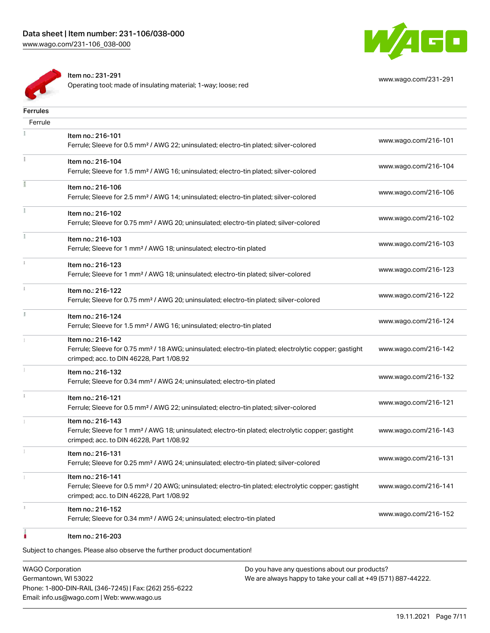![](_page_6_Picture_1.jpeg)

[www.wago.com/231-291](http://www.wago.com/231-291)

Item no.: 231-291

Operating tool; made of insulating material; 1-way; loose; red

| <b>Ferrules</b> |                                                                                                                                                                                    |                      |
|-----------------|------------------------------------------------------------------------------------------------------------------------------------------------------------------------------------|----------------------|
| Ferrule         |                                                                                                                                                                                    |                      |
|                 | Item no.: 216-101<br>Ferrule; Sleeve for 0.5 mm <sup>2</sup> / AWG 22; uninsulated; electro-tin plated; silver-colored                                                             | www.wago.com/216-101 |
|                 | Item no.: 216-104<br>Ferrule; Sleeve for 1.5 mm <sup>2</sup> / AWG 16; uninsulated; electro-tin plated; silver-colored                                                             | www.wago.com/216-104 |
|                 | Item no.: 216-106<br>Ferrule; Sleeve for 2.5 mm <sup>2</sup> / AWG 14; uninsulated; electro-tin plated; silver-colored                                                             | www.wago.com/216-106 |
|                 | Item no.: 216-102<br>Ferrule; Sleeve for 0.75 mm <sup>2</sup> / AWG 20; uninsulated; electro-tin plated; silver-colored                                                            | www.wago.com/216-102 |
|                 | Item no.: 216-103<br>Ferrule; Sleeve for 1 mm <sup>2</sup> / AWG 18; uninsulated; electro-tin plated                                                                               | www.wago.com/216-103 |
|                 | Item no.: 216-123<br>Ferrule; Sleeve for 1 mm <sup>2</sup> / AWG 18; uninsulated; electro-tin plated; silver-colored                                                               | www.wago.com/216-123 |
|                 | Item no.: 216-122<br>Ferrule; Sleeve for 0.75 mm <sup>2</sup> / AWG 20; uninsulated; electro-tin plated; silver-colored                                                            | www.wago.com/216-122 |
|                 | Item no.: 216-124<br>Ferrule; Sleeve for 1.5 mm <sup>2</sup> / AWG 16; uninsulated; electro-tin plated                                                                             | www.wago.com/216-124 |
|                 | Item no.: 216-142<br>Ferrule; Sleeve for 0.75 mm <sup>2</sup> / 18 AWG; uninsulated; electro-tin plated; electrolytic copper; gastight<br>crimped; acc. to DIN 46228, Part 1/08.92 | www.wago.com/216-142 |
|                 | Item no.: 216-132<br>Ferrule; Sleeve for 0.34 mm <sup>2</sup> / AWG 24; uninsulated; electro-tin plated                                                                            | www.wago.com/216-132 |
|                 | Item no.: 216-121<br>Ferrule; Sleeve for 0.5 mm <sup>2</sup> / AWG 22; uninsulated; electro-tin plated; silver-colored                                                             | www.wago.com/216-121 |
|                 | Item no.: 216-143<br>Ferrule; Sleeve for 1 mm <sup>2</sup> / AWG 18; uninsulated; electro-tin plated; electrolytic copper; gastight<br>crimped; acc. to DIN 46228, Part 1/08.92    | www.wago.com/216-143 |
|                 | Item no.: 216-131<br>Ferrule; Sleeve for 0.25 mm <sup>2</sup> / AWG 24; uninsulated; electro-tin plated; silver-colored                                                            | www.wago.com/216-131 |
|                 | Item no.: 216-141<br>Ferrule; Sleeve for 0.5 mm <sup>2</sup> / 20 AWG; uninsulated; electro-tin plated; electrolytic copper; gastight<br>crimped; acc. to DIN 46228, Part 1/08.92  | www.wago.com/216-141 |
|                 | Item no.: 216-152<br>Ferrule; Sleeve for 0.34 mm <sup>2</sup> / AWG 24; uninsulated; electro-tin plated                                                                            | www.wago.com/216-152 |
|                 | Item no.: 216-203                                                                                                                                                                  |                      |

Subject to changes. Please also observe the further product documentation!

WAGO Corporation Germantown, WI 53022 Phone: 1-800-DIN-RAIL (346-7245) | Fax: (262) 255-6222 Email: info.us@wago.com | Web: www.wago.us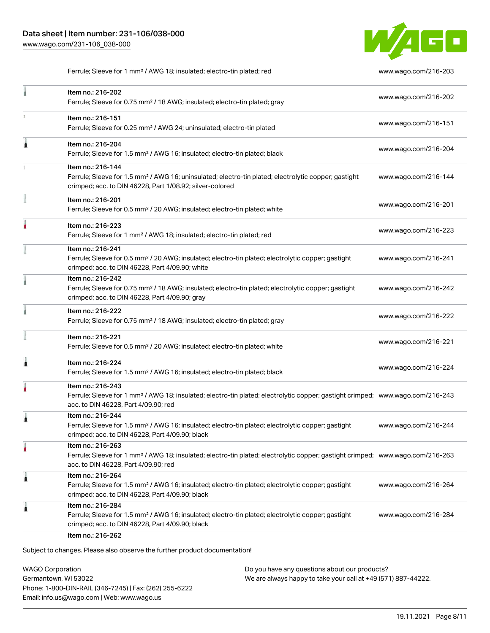![](_page_7_Picture_1.jpeg)

Ferrule; Sleeve for 1 mm² / AWG 18; insulated; electro-tin plated; red [www.wago.com/216-203](http://www.wago.com/216-203)

|   | Item no.: 216-202<br>Ferrule; Sleeve for 0.75 mm <sup>2</sup> / 18 AWG; insulated; electro-tin plated; gray                                                                                             | www.wago.com/216-202 |
|---|---------------------------------------------------------------------------------------------------------------------------------------------------------------------------------------------------------|----------------------|
| 1 | Item no.: 216-151<br>Ferrule; Sleeve for 0.25 mm <sup>2</sup> / AWG 24; uninsulated; electro-tin plated                                                                                                 | www.wago.com/216-151 |
| Ă | Item no.: 216-204<br>Ferrule; Sleeve for 1.5 mm <sup>2</sup> / AWG 16; insulated; electro-tin plated; black                                                                                             | www.wago.com/216-204 |
|   | Item no.: 216-144<br>Ferrule; Sleeve for 1.5 mm <sup>2</sup> / AWG 16; uninsulated; electro-tin plated; electrolytic copper; gastight<br>crimped; acc. to DIN 46228, Part 1/08.92; silver-colored       | www.wago.com/216-144 |
|   | Item no.: 216-201<br>Ferrule; Sleeve for 0.5 mm <sup>2</sup> / 20 AWG; insulated; electro-tin plated; white                                                                                             | www.wago.com/216-201 |
|   | Item no.: 216-223<br>Ferrule; Sleeve for 1 mm <sup>2</sup> / AWG 18; insulated; electro-tin plated; red                                                                                                 | www.wago.com/216-223 |
|   | Item no.: 216-241<br>Ferrule; Sleeve for 0.5 mm <sup>2</sup> / 20 AWG; insulated; electro-tin plated; electrolytic copper; gastight<br>crimped; acc. to DIN 46228, Part 4/09.90; white                  | www.wago.com/216-241 |
|   | Item no.: 216-242<br>Ferrule; Sleeve for 0.75 mm <sup>2</sup> / 18 AWG; insulated; electro-tin plated; electrolytic copper; gastight<br>crimped; acc. to DIN 46228, Part 4/09.90; gray                  | www.wago.com/216-242 |
|   | Item no.: 216-222<br>Ferrule; Sleeve for 0.75 mm <sup>2</sup> / 18 AWG; insulated; electro-tin plated; gray                                                                                             | www.wago.com/216-222 |
|   | Item no.: 216-221<br>Ferrule; Sleeve for 0.5 mm <sup>2</sup> / 20 AWG; insulated; electro-tin plated; white                                                                                             | www.wago.com/216-221 |
| 1 | Item no.: 216-224<br>Ferrule; Sleeve for 1.5 mm <sup>2</sup> / AWG 16; insulated; electro-tin plated; black                                                                                             | www.wago.com/216-224 |
|   | Item no.: 216-243<br>Ferrule; Sleeve for 1 mm <sup>2</sup> / AWG 18; insulated; electro-tin plated; electrolytic copper; gastight crimped; www.wago.com/216-243<br>acc. to DIN 46228, Part 4/09.90; red |                      |
| 1 | Item no.: 216-244<br>Ferrule; Sleeve for 1.5 mm <sup>2</sup> / AWG 16; insulated; electro-tin plated; electrolytic copper; gastight<br>crimped; acc. to DIN 46228, Part 4/09.90; black                  | www.wago.com/216-244 |
| ٠ | Item no.: 216-263<br>Ferrule; Sleeve for 1 mm <sup>2</sup> / AWG 18; insulated; electro-tin plated; electrolytic copper; gastight crimped; www.wago.com/216-263<br>acc. to DIN 46228, Part 4/09.90; red |                      |
| 1 | Item no.: 216-264<br>Ferrule; Sleeve for 1.5 mm <sup>2</sup> / AWG 16; insulated; electro-tin plated; electrolytic copper; gastight<br>crimped; acc. to DIN 46228, Part 4/09.90; black                  | www.wago.com/216-264 |
| Ă | Item no.: 216-284<br>Ferrule; Sleeve for 1.5 mm <sup>2</sup> / AWG 16; insulated; electro-tin plated; electrolytic copper; gastight<br>crimped; acc. to DIN 46228, Part 4/09.90; black                  | www.wago.com/216-284 |

WAGO Corporation Germantown, WI 53022 Phone: 1-800-DIN-RAIL (346-7245) | Fax: (262) 255-6222 Email: info.us@wago.com | Web: www.wago.us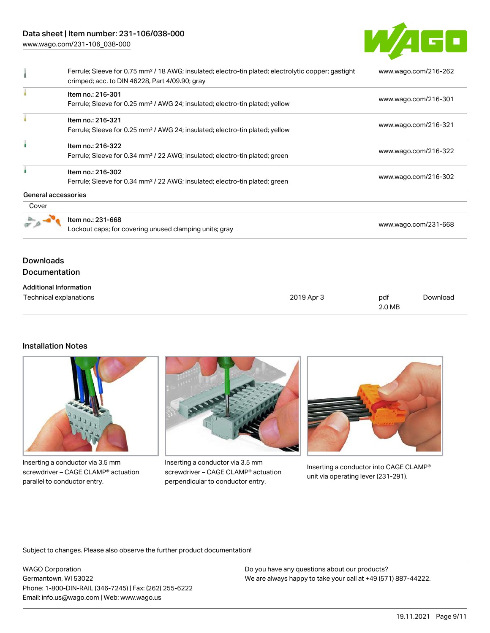# Data sheet | Item number: 231-106/038-000

[www.wago.com/231-106\\_038-000](http://www.wago.com/231-106_038-000)

![](_page_8_Picture_2.jpeg)

|                     | Ferrule; Sleeve for 0.75 mm <sup>2</sup> / 18 AWG; insulated; electro-tin plated; electrolytic copper; gastight<br>crimped; acc. to DIN 46228, Part 4/09.90; gray | www.wago.com/216-262 |
|---------------------|-------------------------------------------------------------------------------------------------------------------------------------------------------------------|----------------------|
|                     | Item no.: 216-301<br>Ferrule; Sleeve for 0.25 mm <sup>2</sup> / AWG 24; insulated; electro-tin plated; yellow                                                     | www.wago.com/216-301 |
|                     | Item no.: 216-321<br>Ferrule; Sleeve for 0.25 mm <sup>2</sup> / AWG 24; insulated; electro-tin plated; yellow                                                     | www.wago.com/216-321 |
|                     | Item no.: 216-322<br>Ferrule; Sleeve for 0.34 mm <sup>2</sup> / 22 AWG; insulated; electro-tin plated; green                                                      | www.wago.com/216-322 |
|                     | Item no.: 216-302<br>Ferrule; Sleeve for 0.34 mm <sup>2</sup> / 22 AWG; insulated; electro-tin plated; green                                                      | www.wago.com/216-302 |
| General accessories |                                                                                                                                                                   |                      |
| Cover               |                                                                                                                                                                   |                      |
|                     | Item no.: 231-668<br>Lockout caps; for covering unused clamping units; gray                                                                                       | www.wago.com/231-668 |

# **Downloads** Documentation

#### Additional Information Technical explanations and political explanations and political explanations and political explanations of political explanations of political explanations of political explanations of political explanations of political e 2.0 MB [Download](https://www.wago.com/global/d/1435602)

## Installation Notes

![](_page_8_Picture_7.jpeg)

Inserting a conductor via 3.5 mm screwdriver – CAGE CLAMP® actuation parallel to conductor entry.

![](_page_8_Picture_9.jpeg)

Inserting a conductor via 3.5 mm screwdriver – CAGE CLAMP® actuation perpendicular to conductor entry.

![](_page_8_Picture_11.jpeg)

Inserting a conductor into CAGE CLAMP® unit via operating lever (231-291).

Subject to changes. Please also observe the further product documentation!

WAGO Corporation Germantown, WI 53022 Phone: 1-800-DIN-RAIL (346-7245) | Fax: (262) 255-6222 Email: info.us@wago.com | Web: www.wago.us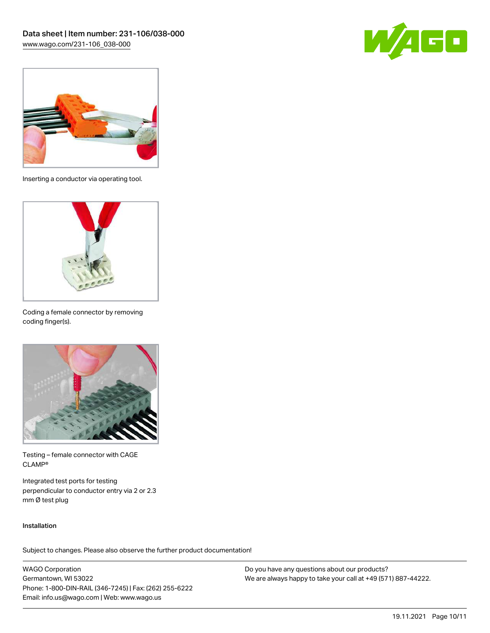![](_page_9_Picture_1.jpeg)

![](_page_9_Picture_2.jpeg)

Inserting a conductor via operating tool.

![](_page_9_Picture_4.jpeg)

Coding a female connector by removing coding finger(s).

![](_page_9_Picture_6.jpeg)

Testing – female connector with CAGE CLAMP®

Integrated test ports for testing perpendicular to conductor entry via 2 or 2.3 mm Ø test plug

### Installation

Subject to changes. Please also observe the further product documentation!

WAGO Corporation Germantown, WI 53022 Phone: 1-800-DIN-RAIL (346-7245) | Fax: (262) 255-6222 Email: info.us@wago.com | Web: www.wago.us